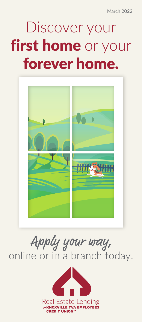March 2022

## Discover your first home or your forever home.



# Apply your way,<br>online or in a branch today!